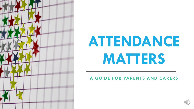

# **ATTENDANCE MATTERS**

#### **A GUIDE FOR PARENTS AND CARERS**

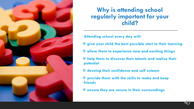

#### **Why is attending school regularly important for your child?**

**Attending school every day will:**

- ❖ **give your child the best possible start to their learning**
- ❖ **allow them to experience new and exciting things**
- ❖ **help them to discover their talents and realise their potential**
- ❖ **develop their confidence and self esteem**
- ❖ **provide them with the skills to make and keep friends**
- ❖ **ensure they are secure in their surroundings**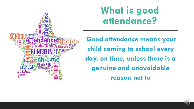

#### **What is good attendance?**

**Good attendance means your child coming to school every day, on time, unless there is a genuine and unavoidable reason not to**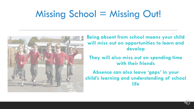### Missing School = Missing Out!



**Being absent from school means your child will miss out on opportunities to learn and develop** 

**They will also miss out on spending time with their friends**

**Absence can also leave 'gaps' in your child's learning and understanding of school life**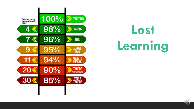

# **Lost Learning**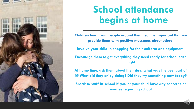

### **School attendance begins at home**

**Children learn from people around them, so it is important that we provide them with positive messages about school** 

**Involve your child in shopping for their uniform and equipment.** 

**Encourage them to get everything they need ready for school each night**

**At home time, ask them about their day; what was the best part of it? What did they enjoy doing? Did they try something new today?**

**Speak to staff in school if you or your child have any concerns or worries regarding school**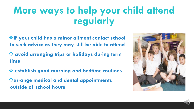### **More ways to help your child attend regularly**

- ❖**if your child has a minor ailment contact school to seek advice as they may still be able to attend**
- ❖ **avoid arranging trips or holidays during term time**
- ❖ **establish good morning and bedtime routines** ❖**arrange medical and dental appointments outside of school hours**

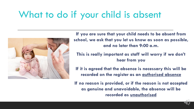#### What to do if your child is absent



**If you are sure that your child needs to be absent from school, we ask that you let us know as soon as possible, and no later than 9:00 a.m.**

**This is really important as staff will worry if we don't hear from you**

**If it is agreed that the absence is necessary this will be recorded on the register as an authorised absence**

**If no reason is provided, or if the reason is not accepted as genuine and unavoidable, the absence will be recorded as unauthorised**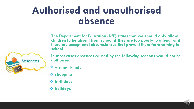#### **Authorised and unauthorised absence**

**The Department for Education (DfE) states that we should only allow children to be absent from school if they are too poorly to attend, or if there are exceptional circumstances that prevent them form coming to school**



**In most cases absences caused by the following reasons would not be authorised;**

- ❖ **visiting family**
- ❖ **shopping**
- ❖ **birthdays**
- ❖ **holidays**

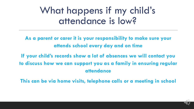#### What happens if my child's attendance is low?

**As a parent or carer it is your responsibility to make sure your attends school every day and on time**

**If your child's records show a lot of absences we will contact you to discuss how we can support you as a family in ensuring regular attendance**

**This can be via home visits, telephone calls or a meeting in school**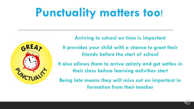## **Punctuality matters too**!



**Arriving to school on time is important** 

**It provides your child with a chance to greet their friends before the start of school** 

**It also allows them to arrive calmly and get settles in their class before learning activities start**

**Being late means they will miss out on important in formation from their teacher**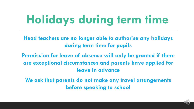## **Holidays during term time**

**Head teachers are no longer able to authorise any holidays during term time for pupils**

**Permission for leave of absence will only be granted if there are exceptional circumstances and parents have applied for leave in advance**

**We ask that parents do not make any travel arrangements before speaking to school**